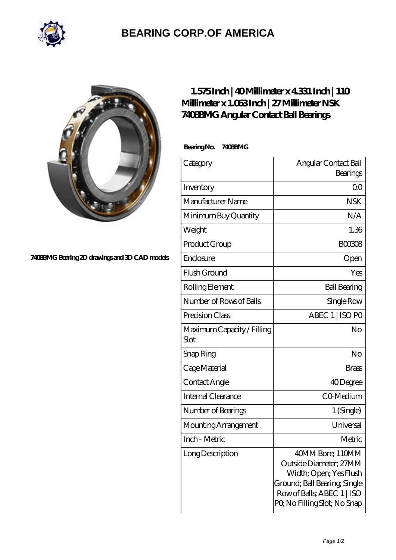

## **[BEARING CORP.OF AMERICA](https://m.bluemondayreview.com)**



## **[7408BMG Bearing 2D drawings and 3D CAD models](https://m.bluemondayreview.com/pic-172827.html)**

## **[1.575 Inch | 40 Millimeter x 4.331 Inch | 110](https://m.bluemondayreview.com/by-172827-nsk-7408bmg-angular-contact-ball-bearings.html) [Millimeter x 1.063 Inch | 27 Millimeter NSK](https://m.bluemondayreview.com/by-172827-nsk-7408bmg-angular-contact-ball-bearings.html) [7408BMG Angular Contact Ball Bearings](https://m.bluemondayreview.com/by-172827-nsk-7408bmg-angular-contact-ball-bearings.html)**

 **Bearing No. 7408BMG**

| Category                           | Angular Contact Ball                                                                                                                                              |
|------------------------------------|-------------------------------------------------------------------------------------------------------------------------------------------------------------------|
|                                    | Bearings                                                                                                                                                          |
| Inventory                          | 00                                                                                                                                                                |
| Manufacturer Name                  | <b>NSK</b>                                                                                                                                                        |
| Minimum Buy Quantity               | N/A                                                                                                                                                               |
| Weight                             | 1.36                                                                                                                                                              |
| Product Group                      | <b>BOO3O8</b>                                                                                                                                                     |
| Enclosure                          | Open                                                                                                                                                              |
| Flush Ground                       | Yes                                                                                                                                                               |
| Rolling Element                    | <b>Ball Bearing</b>                                                                                                                                               |
| Number of Rows of Balls            | Single Row                                                                                                                                                        |
| Precision Class                    | ABEC 1   ISO PO                                                                                                                                                   |
| Maximum Capacity / Filling<br>Slot | No                                                                                                                                                                |
| Snap Ring                          | No                                                                                                                                                                |
| Cage Material                      | <b>Brass</b>                                                                                                                                                      |
| Contact Angle                      | 40Degree                                                                                                                                                          |
| <b>Internal Clearance</b>          | CO-Medium                                                                                                                                                         |
| Number of Bearings                 | 1 (Single)                                                                                                                                                        |
| Mounting Arrangement               | Universal                                                                                                                                                         |
| Inch - Metric                      | Metric                                                                                                                                                            |
| Long Description                   | 40MM Bore; 110MM<br>Outside Diameter; 27MM<br>Width; Open; Yes Flush<br>Ground; Ball Bearing; Single<br>Row of Balls, ABEC 1   ISO<br>PQ No Filling Slot; No Snap |